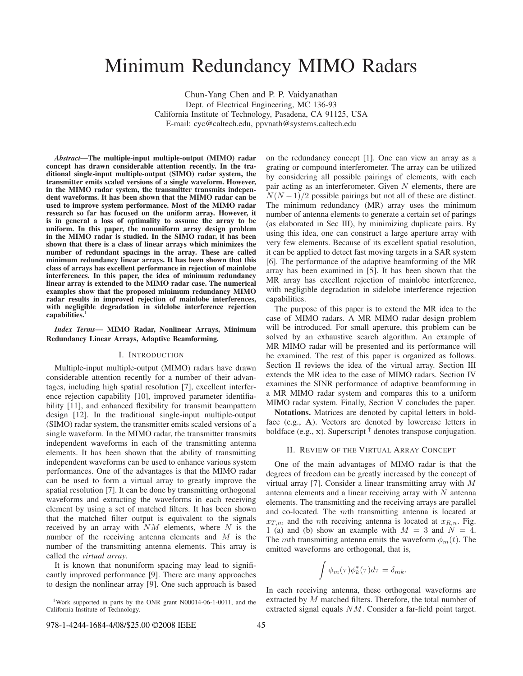# Minimum Redundancy MIMO Radars

Chun-Yang Chen and P. P. Vaidyanathan Dept. of Electrical Engineering, MC 136-93 California Institute of Technology, Pasadena, CA 91125, USA E-mail: cyc@caltech.edu, ppvnath@systems.caltech.edu

*Abstract***—The multiple-input multiple-output (MIMO) radar concept has drawn considerable attention recently. In the traditional single-input multiple-output (SIMO) radar system, the transmitter emits scaled versions of a single waveform. However,** in the MIMO radar system, the transmitter transmits indepen**dent waveforms. It has been shown that the MIMO radar can be used to improve system performance. Most of the MIMO radar research so far has focused on the uniform array. However, it is in general a loss of optimality to assume the array to be uniform. In this paper, the nonuniform array design problem in the MIMO radar is studied. In the SIMO radar, it has been shown that there is a class of linear arrays which minimizes the number of redundant spacings in the array. These are called minimum redundancy linear arrays. It has been shown that this class of arrays has excellent performance in rejection of mainlobe interferences. In this paper, the idea of minimum redundancy linear array is extended to the MIMO radar case. The numerical examples show that the proposed minimum redundancy MIMO radar results in improved rejection of mainlobe interferences, with negligible degradation in sidelobe interference rejection** capabilities.

*Index Terms***— MIMO Radar, Nonlinear Arrays, Minimum Redundancy Linear Arrays, Adaptive Beamforming.**

# I. INTRODUCTION

Multiple-input multiple-output (MIMO) radars have drawn considerable attention recently for a number of their advantages, including high spatial resolution [7], excellent interference rejection capability [10], improved parameter identifiability [11], and enhanced flexibility for transmit beampattern design [12]. In the traditional single-input multiple-output (SIMO) radar system, the transmitter emits scaled versions of a single waveform. In the MIMO radar, the transmitter transmits independent waveforms in each of the transmitting antenna elements. It has been shown that the ability of transmitting independent waveforms can be used to enhance various system performances. One of the advantages is that the MIMO radar can be used to form a virtual array to greatly improve the spatial resolution [7]. It can be done by transmitting orthogonal waveforms and extracting the waveforms in each receiving element by using a set of matched filters. It has been shown that the matched filter output is equivalent to the signals received by an array with  $NM$  elements, where N is the number of the receiving antenna elements and  $M$  is the number of the transmitting antenna elements. This array is called the *virtual array*.

It is known that nonuniform spacing may lead to significantly improved performance [9]. There are many approaches to design the nonlinear array [9]. One such approach is based on the redundancy concept [1]. One can view an array as a grating or compound interferometer. The array can be utilized by considering all possible pairings of elements, with each pair acting as an interferometer. Given  $N$  elements, there are  $N(N-1)/2$  possible pairings but not all of these are distinct. The minimum redundancy (MR) array uses the minimum number of antenna elements to generate a certain set of parings (as elaborated in Sec III), by minimizing duplicate pairs. By using this idea, one can construct a large aperture array with very few elements. Because of its excellent spatial resolution, it can be applied to detect fast moving targets in a SAR system [6]. The performance of the adaptive beamforming of the MR array has been examined in [5]. It has been shown that the MR array has excellent rejection of mainlobe interference, with negligible degradation in sidelobe interference rejection capabilities.

The purpose of this paper is to extend the MR idea to the case of MIMO radars. A MR MIMO radar design problem will be introduced. For small aperture, this problem can be solved by an exhaustive search algorithm. An example of MR MIMO radar will be presented and its performance will be examined. The rest of this paper is organized as follows. Section II reviews the idea of the virtual array. Section III extends the MR idea to the case of MIMO radars. Section IV examines the SINR performance of adaptive beamforming in a MR MIMO radar system and compares this to a uniform MIMO radar system. Finally, Section V concludes the paper.

**Notations.** Matrices are denoted by capital letters in boldface (e.g., **A**). Vectors are denoted by lowercase letters in boldface (e.g., **x**). Superscript † denotes transpose conjugation.

## II. REVIEW OF THE VIRTUAL ARRAY CONCEPT

One of the main advantages of MIMO radar is that the degrees of freedom can be greatly increased by the concept of virtual array [7]. Consider a linear transmitting array with M antenna elements and a linear receiving array with  $N$  antenna elements. The transmitting and the receiving arrays are parallel and co-located. The mth transmitting antenna is located at  $x_{T,m}$  and the *n*th receiving antenna is located at  $x_{R,n}$ . Fig. 1 (a) and (b) show an example with  $M = 3$  and  $N = 4$ . The *mth* transmitting antenna emits the waveform  $\phi_m(t)$ . The emitted waveforms are orthogonal, that is,

$$
\int \phi_m(\tau)\phi_k^*(\tau)d\tau = \delta_{mk}.
$$

In each receiving antenna, these orthogonal waveforms are extracted by M matched filters. Therefore, the total number of extracted signal equals NM. Consider a far-field point target.

<sup>1</sup>Work supported in parts by the ONR grant N00014-06-1-0011, and the California Institute of Technology.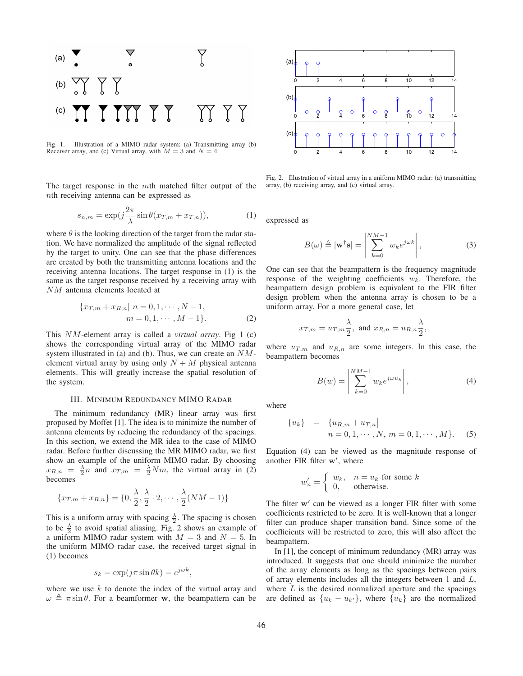

Fig. 1. Illustration of a MIMO radar system: (a) Transmitting array (b) Receiver array, and (c) Virtual array, with  $M = 3$  and  $N = 4$ .

The target response in the mth matched filter output of the nth receiving antenna can be expressed as

$$
s_{n,m} = \exp(j\frac{2\pi}{\lambda}\sin\theta(x_{T,m} + x_{T,n})),\tag{1}
$$

where  $\theta$  is the looking direction of the target from the radar station. We have normalized the amplitude of the signal reflected by the target to unity. One can see that the phase differences are created by both the transmitting antenna locations and the receiving antenna locations. The target response in (1) is the same as the target response received by a receiving array with NM antenna elements located at

$$
\{x_{T,m} + x_{R,n} | n = 0, 1, \cdots, N-1, m = 0, 1, \cdots, M-1\}.
$$
 (2)

This NM-element array is called a *virtual array*. Fig 1 (c) shows the corresponding virtual array of the MIMO radar system illustrated in (a) and (b). Thus, we can create an NMelement virtual array by using only  $N + M$  physical antenna elements. This will greatly increase the spatial resolution of the system.

### III. MINIMUM REDUNDANCY MIMO RADAR

The minimum redundancy (MR) linear array was first proposed by Moffet [1]. The idea is to minimize the number of antenna elements by reducing the redundancy of the spacings. In this section, we extend the MR idea to the case of MIMO radar. Before further discussing the MR MIMO radar, we first show an example of the uniform MIMO radar. By choosing  $x_{R,n} = \frac{\lambda}{2} n$  and  $x_{T,m} = \frac{\lambda}{2} N m$ , the virtual array in (2) becomes

$$
\{x_{T,m} + x_{R,n}\} = \{0, \frac{\lambda}{2}, \frac{\lambda}{2} \cdot 2, \cdots, \frac{\lambda}{2}(NM-1)\}
$$

This is a uniform array with spacing  $\frac{\lambda}{2}$ . The spacing is chosen to be  $\frac{\lambda}{2}$  to avoid spatial aliasing. Fig. 2 shows an example of a uniform MIMO radar system with  $M = 3$  and  $N = 5$ . In the uniform MIMO radar case, the received target signal in (1) becomes

$$
s_k = \exp(j\pi \sin \theta k) = e^{j\omega k},
$$

where we use  $k$  to denote the index of the virtual array and  $\omega \triangleq \pi \sin \theta$ . For a beamformer **w**, the beampattern can be



Fig. 2. Illustration of virtual array in a uniform MIMO radar: (a) transmitting array, (b) receiving array, and (c) virtual array.

expressed as

$$
B(\omega) \triangleq |\mathbf{w}^{\dagger} \mathbf{s}| = \left| \sum_{k=0}^{NM-1} w_k e^{j\omega k} \right|,
$$
 (3)

One can see that the beampattern is the frequency magnitude response of the weighting coefficients  $w_k$ . Therefore, the beampattern design problem is equivalent to the FIR filter design problem when the antenna array is chosen to be a uniform array. For a more general case, let

$$
x_{T,m} = u_{T,m} \frac{\lambda}{2}
$$
, and  $x_{R,n} = u_{R,n} \frac{\lambda}{2}$ ,

where  $u_{T,m}$  and  $u_{R,n}$  are some integers. In this case, the beampattern becomes

$$
B(w) = \left| \sum_{k=0}^{NM-1} w_k e^{j\omega u_k} \right|,
$$
 (4)

where

$$
{u_k} = {u_{R,m} + u_{T,n} \n \over n = 0, 1, \cdots, N, m = 0, 1, \cdots, M}.
$$
 (5)

Equation (4) can be viewed as the magnitude response of another FIR filter **w** , where

$$
w'_n = \begin{cases} w_k, & n = u_k \text{ for some } k\\ 0, & \text{otherwise.} \end{cases}
$$

The filter **w** can be viewed as a longer FIR filter with some coefficients restricted to be zero. It is well-known that a longer filter can produce shaper transition band. Since some of the coefficients will be restricted to zero, this will also affect the beampattern.

In [1], the concept of minimum redundancy (MR) array was introduced. It suggests that one should minimize the number of the array elements as long as the spacings between pairs of array elements includes all the integers between 1 and L, where  $L$  is the desired normalized aperture and the spacings are defined as  $\{u_k - u_{k'}\}$ , where  $\{u_k\}$  are the normalized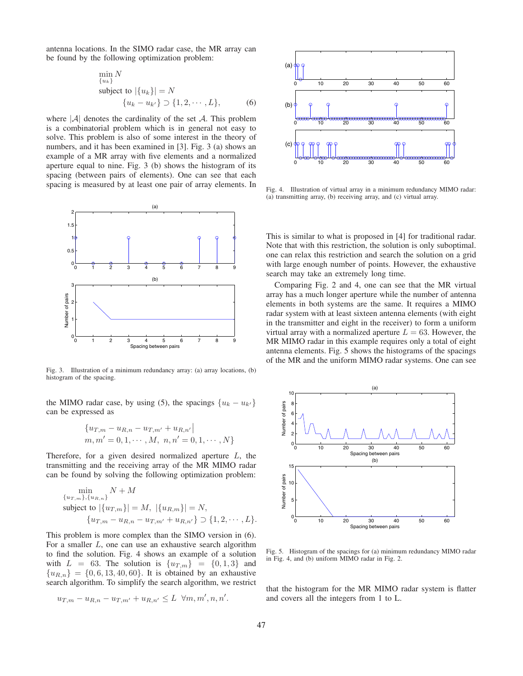antenna locations. In the SIMO radar case, the MR array can be found by the following optimization problem:

$$
\min_{\{u_k\}} N
$$
\nsubject to  $|\{u_k\}| = N$ \n
$$
\{u_k - u_{k'}\} \supset \{1, 2, \cdots, L\},
$$
\n(6)

where  $|\mathcal{A}|$  denotes the cardinality of the set  $\mathcal{A}$ . This problem is a combinatorial problem which is in general not easy to solve. This problem is also of some interest in the theory of numbers, and it has been examined in [3]. Fig. 3 (a) shows an example of a MR array with five elements and a normalized aperture equal to nine. Fig. 3 (b) shows the histogram of its spacing (between pairs of elements). One can see that each spacing is measured by at least one pair of array elements. In



Fig. 3. Illustration of a minimum redundancy array: (a) array locations, (b) histogram of the spacing.

the MIMO radar case, by using (5), the spacings  $\{u_k - u_{k'}\}$ can be expressed as

$$
\{u_{T,m} - u_{R,n} - u_{T,m'} + u_{R,n'}\}
$$
  

$$
m, m' = 0, 1, \cdots, M, n, n' = 0, 1, \cdots, N\}
$$

Therefore, for a given desired normalized aperture  $L$ , the transmitting and the receiving array of the MR MIMO radar can be found by solving the following optimization problem:

$$
\min_{\{u_{T,m}\}, \{u_{R,n}\}} N + M
$$
\nsubject to  $|\{u_{T,m}\}| = M$ ,  $|\{u_{R,m}\}| = N$ ,  
\n $\{u_{T,m} - u_{R,n} - u_{T,m'} + u_{R,n'}\} \supset \{1, 2, \cdots, L\}.$ 

This problem is more complex than the SIMO version in (6). For a smaller  $L$ , one can use an exhaustive search algorithm to find the solution. Fig. 4 shows an example of a solution with  $L = 63$ . The solution is  $\{u_{T,m}\} = \{0, 1, 3\}$  and  ${u_{R,n}} = {0, 6, 13, 40, 60}.$  It is obtained by an exhaustive search algorithm. To simplify the search algorithm, we restrict

$$
u_{T,m} - u_{R,n} - u_{T,m'} + u_{R,n'} \leq L \ \forall m,m',n,n'.
$$



Fig. 4. Illustration of virtual array in a minimum redundancy MIMO radar: (a) transmitting array, (b) receiving array, and (c) virtual array.

This is similar to what is proposed in [4] for traditional radar. Note that with this restriction, the solution is only suboptimal. one can relax this restriction and search the solution on a grid with large enough number of points. However, the exhaustive search may take an extremely long time.

Comparing Fig. 2 and 4, one can see that the MR virtual array has a much longer aperture while the number of antenna elements in both systems are the same. It requires a MIMO radar system with at least sixteen antenna elements (with eight in the transmitter and eight in the receiver) to form a uniform virtual array with a normalized aperture  $L = 63$ . However, the MR MIMO radar in this example requires only a total of eight antenna elements. Fig. 5 shows the histograms of the spacings of the MR and the uniform MIMO radar systems. One can see



Fig. 5. Histogram of the spacings for (a) minimum redundancy MIMO radar in Fig. 4, and (b) uniform MIMO radar in Fig. 2.

that the histogram for the MR MIMO radar system is flatter and covers all the integers from 1 to L.